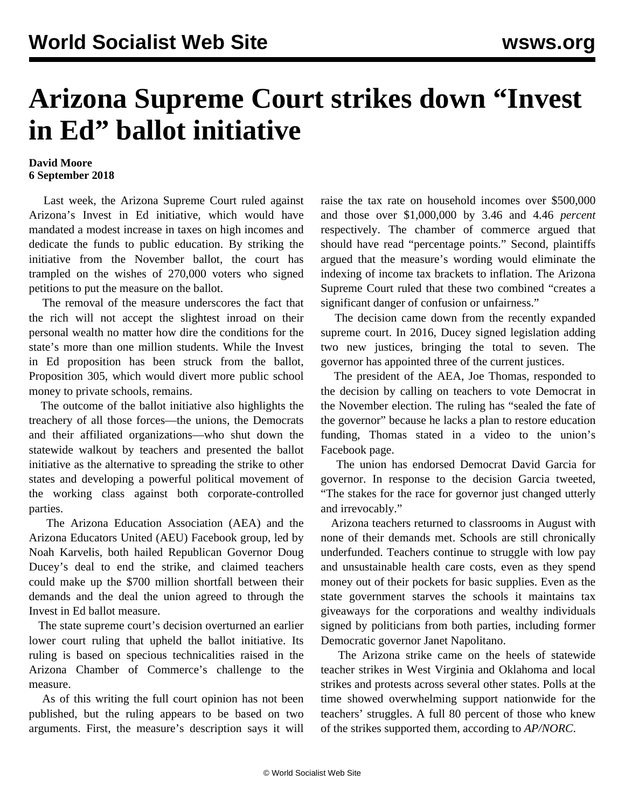## **Arizona Supreme Court strikes down "Invest in Ed" ballot initiative**

## **David Moore 6 September 2018**

 Last week, the Arizona Supreme Court ruled against Arizona's Invest in Ed initiative, which would have mandated a modest increase in taxes on high incomes and dedicate the funds to public education. By striking the initiative from the November ballot, the court has trampled on the wishes of 270,000 voters who signed petitions to put the measure on the ballot.

 The removal of the measure underscores the fact that the rich will not accept the slightest inroad on their personal wealth no matter how dire the conditions for the state's more than one million students. While the Invest in Ed proposition has been struck from the ballot, Proposition 305, which would divert more public school money to private schools, remains.

 The outcome of the ballot initiative also highlights the treachery of all those forces—the unions, the Democrats and their affiliated organizations—who shut down the statewide walkout by teachers and presented the ballot initiative as the alternative to spreading the strike to other states and developing a powerful political movement of the working class against both corporate-controlled parties.

 The Arizona Education Association (AEA) and the Arizona Educators United (AEU) Facebook group, led by Noah Karvelis, both hailed Republican Governor Doug Ducey's deal to end the strike, and claimed teachers could make up the \$700 million shortfall between their demands and the deal the union agreed to through the Invest in Ed ballot measure.

 The state supreme court's decision overturned an earlier lower court ruling that upheld the ballot initiative. Its ruling is based on specious technicalities raised in the Arizona Chamber of Commerce's challenge to the measure.

 As of this writing the full court opinion has not been published, but the ruling appears to be based on two arguments. First, the measure's description says it will

raise the tax rate on household incomes over \$500,000 and those over \$1,000,000 by 3.46 and 4.46 *percent* respectively. The chamber of commerce argued that should have read "percentage points." Second, plaintiffs argued that the measure's wording would eliminate the indexing of income tax brackets to inflation. The Arizona Supreme Court ruled that these two combined "creates a significant danger of confusion or unfairness."

 The decision came down from the recently expanded supreme court. In 2016, Ducey signed legislation adding two new justices, bringing the total to seven. The governor has appointed three of the current justices.

 The president of the AEA, Joe Thomas, responded to the decision by calling on teachers to vote Democrat in the November election. The ruling has "sealed the fate of the governor" because he lacks a plan to restore education funding, Thomas stated in a video to the union's Facebook page.

 The union has endorsed Democrat David Garcia for governor. In response to the decision Garcia tweeted, "The stakes for the race for governor just changed utterly and irrevocably."

 Arizona teachers returned to classrooms in August with none of their demands met. Schools are still chronically underfunded. Teachers continue to struggle with low pay and unsustainable health care costs, even as they spend money out of their pockets for basic supplies. Even as the state government starves the schools it maintains tax giveaways for the corporations and wealthy individuals signed by politicians from both parties, including former Democratic governor Janet Napolitano.

 The Arizona strike came on the heels of statewide teacher strikes in West Virginia and Oklahoma and local strikes and protests across several other states. Polls at the time showed overwhelming support nationwide for the teachers' struggles. A full 80 percent of those who knew of the strikes supported them, according to *AP/NORC*.